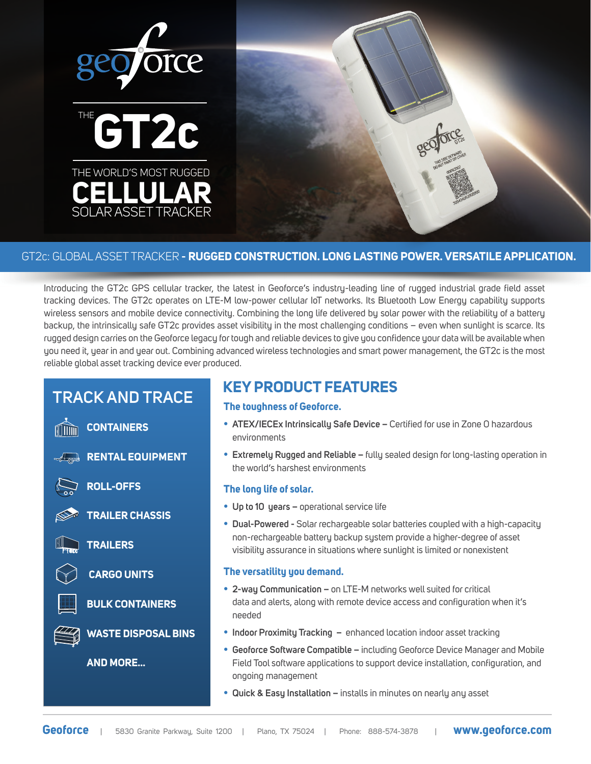

### GT2c: GLOBAL ASSET TRACKER **- RUGGED CONSTRUCTION. LONG LASTING POWER. VERSATILE APPLICATION.**

Introducing the GT2c GPS cellular tracker, the latest in Geoforce's industry-leading line of rugged industrial grade field asset tracking devices. The GT2c operates on LTE-M low-power cellular IoT networks. Its Bluetooth Low Energy capability supports wireless sensors and mobile device connectivity. Combining the long life delivered by solar power with the reliability of a battery backup, the intrinsically safe GT2c provides asset visibility in the most challenging conditions – even when sunlight is scarce. Its rugged design carries on the Geoforce legacy for tough and reliable devices to give you confidence your data will be available when you need it, year in and year out. Combining advanced wireless technologies and smart power management, the GT2c is the most reliable global asset tracking device ever produced.

# **TRACK AND TRACE**

**CONTAINERS**

**RENTAL EQUIPMENT**



**ROLL-OFFS**



**TRAILER CHASSIS**

**TRAILERS**



**BULK CONTAINERS**

**WASTE DISPOSAL BINS**

**AND MORE...**

# **KEY PRODUCT FEATURES**

### **The toughness of Geoforce.**

- **ATEX/IECEx Intrinsically Safe Device** Certified for use in Zone 0 hazardous environments
- **Extremely Rugged and Reliable** fully sealed design for long-lasting operation in the world's harshest environments

### **The long life of solar.**

- **Up to 10 years** operational service life
- **Dual-Powered** Solar rechargeable solar batteries coupled with a high-capacity non-rechargeable battery backup system provide a higher-degree of asset visibility assurance in situations where sunlight is limited or nonexistent

### **The versatility you demand.**

- **2-way Communication** on LTE-M networks well suited for critical data and alerts, along with remote device access and configuration when it's needed
- **Indoor Proximity Tracking** enhanced location indoor asset tracking
- **Geoforce Software Compatible** including Geoforce Device Manager and Mobile Field Tool software applications to support device installation, configuration, and ongoing management
- **Quick & Easy Installation** installs in minutes on nearly any asset